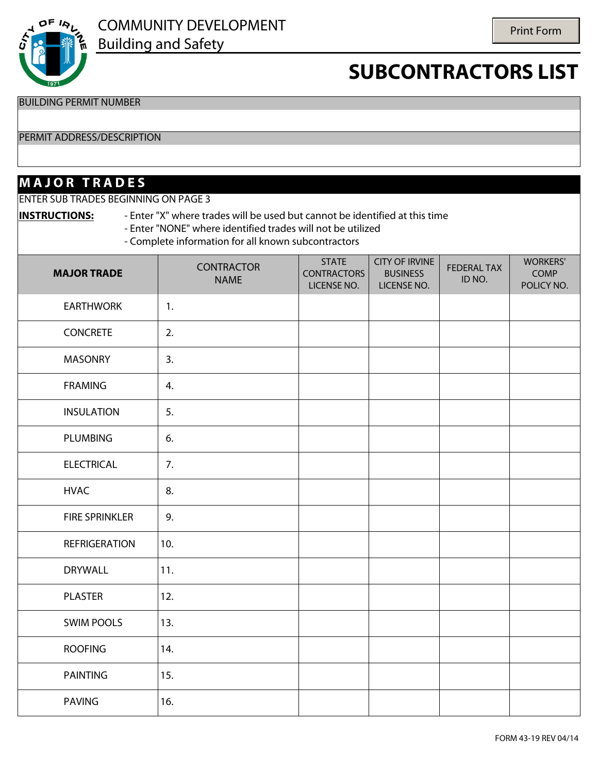

BUILDING PERMIT NUMBER

#### PERMIT ADDRESS/DESCRIPTION

### **M A J O R T R A D E S**

ENTER SUB TRADES BEGINNING ON PAGE 3

**INSTRUCTIONS:** - Enter "X" where trades will be used but cannot be identified at this time - Enter "NONE" where identified trades will not be utilized - Complete information for all known subcontractors

| <b>MAJOR TRADE</b>                                        | <b>CONTRACTOR</b><br><b>NAME</b> | <b>STATE</b><br><b>CONTRACTORS</b><br>LICENSE NO. | <b>CITY OF IRVINE</b><br><b>BUSINESS</b><br>LICENSE NO. | <b>FEDERAL TAX</b><br>ID NO. | <b>WORKERS'</b><br>COMP<br>POLICY NO. |
|-----------------------------------------------------------|----------------------------------|---------------------------------------------------|---------------------------------------------------------|------------------------------|---------------------------------------|
| <b>EARTHWORK</b><br>$\blacktriangledown$                  | 1.                               |                                                   |                                                         |                              |                                       |
| <b>CONCRETE</b><br>$\left  \right $                       | 2.                               |                                                   |                                                         |                              |                                       |
| $\blacktriangleright$ MASONRY                             | 3.                               |                                                   |                                                         |                              |                                       |
| <b>FRAMING</b><br>$\overline{\phantom{0}}$                | 4.                               |                                                   |                                                         |                              |                                       |
| <b>INSULATION</b><br>$\overline{\phantom{0}}$             | 5.                               |                                                   |                                                         |                              |                                       |
| PLUMBING<br>$\blacktriangledown$                          | 6.                               |                                                   |                                                         |                              |                                       |
| <b>ELECTRICAL</b><br>$\left  \rule{0pt}{10pt} \right.$    | 7.                               |                                                   |                                                         |                              |                                       |
| <b>HVAC</b><br>$\left  \cdot \right $                     | 8.                               |                                                   |                                                         |                              |                                       |
| <b>FIRE SPRINKLER</b><br>$\blacktriangledown$             | 9.                               |                                                   |                                                         |                              |                                       |
| $\left  \rule{0pt}{10pt} \right.$<br><b>REFRIGERATION</b> | 10.                              |                                                   |                                                         |                              |                                       |
| <b>DRYWALL</b><br>$\overline{\phantom{0}}$                | 11.                              |                                                   |                                                         |                              |                                       |
| <b>PLASTER</b><br>$\blacktriangledown$                    | 12.                              |                                                   |                                                         |                              |                                       |
| <b>SWIM POOLS</b><br>$\overline{\phantom{a}}$             | 13.                              |                                                   |                                                         |                              |                                       |
| <b>ROOFING</b><br>$\overline{\phantom{a}}$                | 14.                              |                                                   |                                                         |                              |                                       |
| <b>PAINTING</b><br>$\overline{\phantom{a}}$               | 15.                              |                                                   |                                                         |                              |                                       |
| PAVING<br>$\blacktriangledown$                            | 16.                              |                                                   |                                                         |                              |                                       |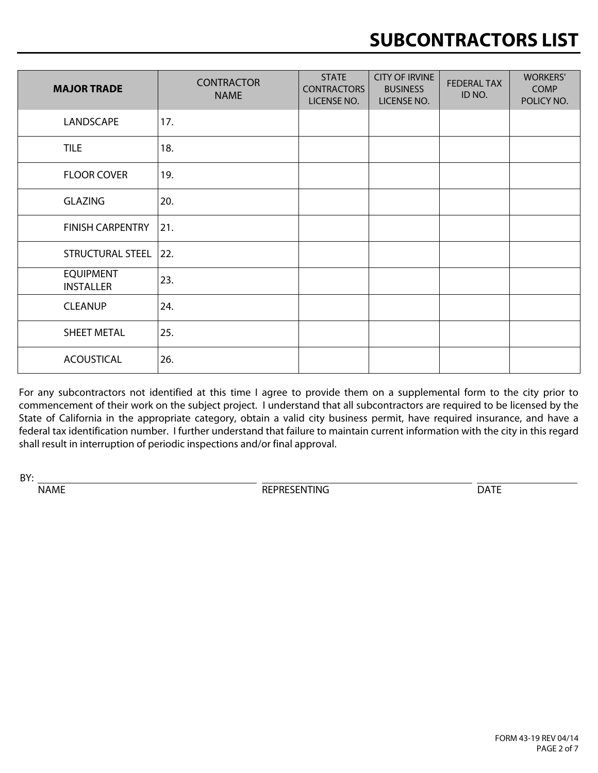| <b>MAJOR TRADE</b>                                               | <b>CONTRACTOR</b><br><b>NAME</b> | <b>STATE</b><br><b>CONTRACTORS</b><br>LICENSE NO. | <b>CITY OF IRVINE</b><br><b>BUSINESS</b><br>LICENSE NO. | <b>FEDERAL TAX</b><br>ID NO. | <b>WORKERS'</b><br><b>COMP</b><br>POLICY NO. |
|------------------------------------------------------------------|----------------------------------|---------------------------------------------------|---------------------------------------------------------|------------------------------|----------------------------------------------|
| LANDSCAPE<br>$\blacktriangledown$                                | 17.                              |                                                   |                                                         |                              |                                              |
| $\overline{\phantom{a}}$ TILE                                    | 18.                              |                                                   |                                                         |                              |                                              |
| <b>FLOOR COVER</b><br>$\mathbf{v}$                               | 19.                              |                                                   |                                                         |                              |                                              |
| <b>GLAZING</b><br>$\overline{\phantom{a}}$                       | 20.                              |                                                   |                                                         |                              |                                              |
| <b>FINISH CARPENTRY</b><br>$\blacktriangledown$                  | 21.                              |                                                   |                                                         |                              |                                              |
| STRUCTURAL STEEL<br>$\vert$                                      | 22.                              |                                                   |                                                         |                              |                                              |
| <b>EQUIPMENT</b><br>$\overline{\phantom{a}}$<br><b>INSTALLER</b> | 23.                              |                                                   |                                                         |                              |                                              |
| <b>CLEANUP</b><br>$\vert \vert$                                  | 24.                              |                                                   |                                                         |                              |                                              |
| SHEET METAL<br>$\overline{\phantom{a}}$                          | 25.                              |                                                   |                                                         |                              |                                              |
| <b>ACOUSTICAL</b><br>$\overline{\phantom{a}}$                    | 26.                              |                                                   |                                                         |                              |                                              |

For any subcontractors not identified at this time I agree to provide them on a supplemental form to the city prior to commencement of their work on the subject project. I understand that all subcontractors are required to be licensed by the State of California in the appropriate category, obtain a valid city business permit, have required insurance, and have a federal tax identification number. I further understand that failure to maintain current information with the city in this regard shall result in interruption of periodic inspections and/or final approval.

BY:

NAME

REPRESENTING DATE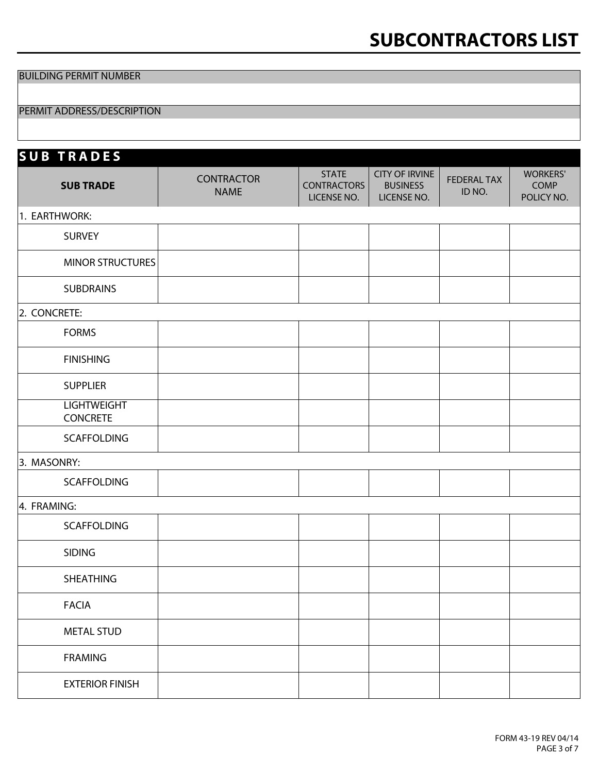BUILDING PERMIT NUMBER

#### PERMIT ADDRESS/DESCRIPTION

| <b>SUB TRADES</b>                        |                                  |                                                   |                                                         |                              |                                              |
|------------------------------------------|----------------------------------|---------------------------------------------------|---------------------------------------------------------|------------------------------|----------------------------------------------|
| <b>SUB TRADE</b>                         | <b>CONTRACTOR</b><br><b>NAME</b> | <b>STATE</b><br><b>CONTRACTORS</b><br>LICENSE NO. | <b>CITY OF IRVINE</b><br><b>BUSINESS</b><br>LICENSE NO. | <b>FEDERAL TAX</b><br>ID NO. | <b>WORKERS'</b><br><b>COMP</b><br>POLICY NO. |
| 1. EARTHWORK:                            |                                  |                                                   |                                                         |                              |                                              |
| $\overline{\mathsf{y}}$ SURVEY           |                                  |                                                   |                                                         |                              |                                              |
| MINOR STRUCTURES                         |                                  |                                                   |                                                         |                              |                                              |
| $\overline{\mathbf{y}}$ SUBDRAINS        |                                  |                                                   |                                                         |                              |                                              |
| 2. CONCRETE:                             |                                  |                                                   |                                                         |                              |                                              |
| $\mathbf{I}$ FORMS                       |                                  |                                                   |                                                         |                              |                                              |
| <b>FINISHING</b><br>$\blacktriangledown$ |                                  |                                                   |                                                         |                              |                                              |
| $\overline{\mathsf{I}}$ SUPPLIER         |                                  |                                                   |                                                         |                              |                                              |
| <b>LIGHTWEIGHT</b><br><b>CONCRETE</b>    |                                  |                                                   |                                                         |                              |                                              |
| $\blacktriangleright$ SCAFFOLDING        |                                  |                                                   |                                                         |                              |                                              |
| 3. MASONRY:                              |                                  |                                                   |                                                         |                              |                                              |
| V SCAFFOLDING                            |                                  |                                                   |                                                         |                              |                                              |
| 4. FRAMING:                              |                                  |                                                   |                                                         |                              |                                              |
| SCAFFOLDING<br>$\mathbf{v}$              |                                  |                                                   |                                                         |                              |                                              |
| $\overline{\phantom{a}}$ SIDING          |                                  |                                                   |                                                         |                              |                                              |
| $\overline{\mathbf{y}}$ SHEATHING        |                                  |                                                   |                                                         |                              |                                              |
| $\blacktriangleright$ FACIA              |                                  |                                                   |                                                         |                              |                                              |
| $\blacktriangleright$ METAL STUD         |                                  |                                                   |                                                         |                              |                                              |
| $\blacktriangleright$ FRAMING            |                                  |                                                   |                                                         |                              |                                              |
| $\mathbf{F}$ EXTERIOR FINISH             |                                  |                                                   |                                                         |                              |                                              |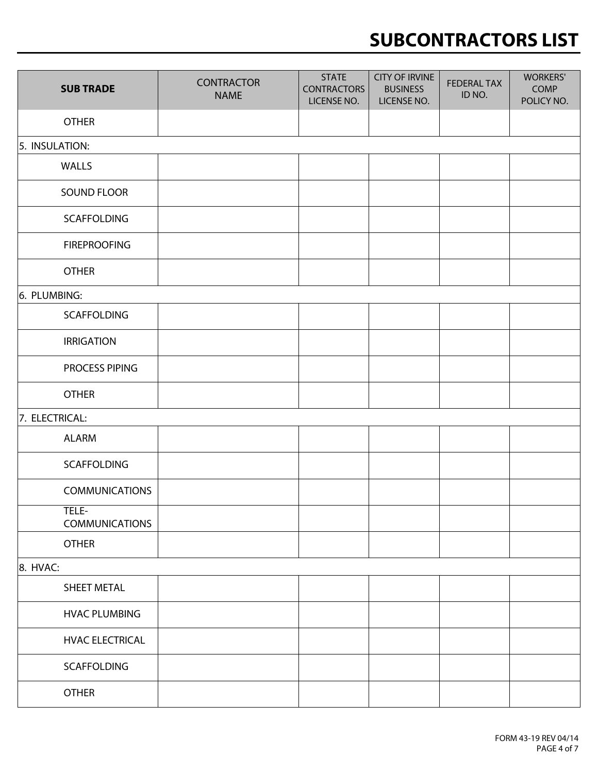| <b>SUB TRADE</b>                                           | <b>CONTRACTOR</b><br><b>NAME</b> | <b>STATE</b><br><b>CONTRACTORS</b><br>LICENSE NO. | <b>CITY OF IRVINE</b><br><b>BUSINESS</b><br>LICENSE NO. | <b>FEDERAL TAX</b><br>ID NO. | <b>WORKERS'</b><br>COMP<br>POLICY NO. |
|------------------------------------------------------------|----------------------------------|---------------------------------------------------|---------------------------------------------------------|------------------------------|---------------------------------------|
| <b>OTHER</b><br>$\mathbf{r}$                               |                                  |                                                   |                                                         |                              |                                       |
| 5. INSULATION:                                             |                                  |                                                   |                                                         |                              |                                       |
| $\mathbf{V}$ WALLS                                         |                                  |                                                   |                                                         |                              |                                       |
| $\mathbf{I}$ SOUND FLOOR                                   |                                  |                                                   |                                                         |                              |                                       |
| SCAFFOLDING<br>$\overline{\phantom{a}}$                    |                                  |                                                   |                                                         |                              |                                       |
| <b>FIREPROOFING</b><br>$\blacktriangledown$                |                                  |                                                   |                                                         |                              |                                       |
| <b>OTHER</b><br>$\left  \mathbf{v} \right $                |                                  |                                                   |                                                         |                              |                                       |
| 6. PLUMBING:                                               |                                  |                                                   |                                                         |                              |                                       |
| SCAFFOLDING<br>$\overline{\phantom{a}}$                    |                                  |                                                   |                                                         |                              |                                       |
| <b>IRRIGATION</b><br>$\overline{\phantom{0}}$              |                                  |                                                   |                                                         |                              |                                       |
| PROCESS PIPING<br>$\blacktriangledown$                     |                                  |                                                   |                                                         |                              |                                       |
| <b>OTHER</b><br>$\blacktriangledown$                       |                                  |                                                   |                                                         |                              |                                       |
| 7. ELECTRICAL:                                             |                                  |                                                   |                                                         |                              |                                       |
| <b>ALARM</b><br>$\blacktriangledown$                       |                                  |                                                   |                                                         |                              |                                       |
| SCAFFOLDING<br>$\blacktriangledown$                        |                                  |                                                   |                                                         |                              |                                       |
| <b>COMMUNICATIONS</b><br>$\overline{\phantom{a}}$          |                                  |                                                   |                                                         |                              |                                       |
| TELE-<br>$\overline{\phantom{a}}$<br><b>COMMUNICATIONS</b> |                                  |                                                   |                                                         |                              |                                       |
| <b>OTHER</b><br>$\blacktriangledown$                       |                                  |                                                   |                                                         |                              |                                       |
| 8. HVAC:                                                   |                                  |                                                   |                                                         |                              |                                       |
| SHEET METAL<br>$\blacktriangledown$                        |                                  |                                                   |                                                         |                              |                                       |
| <b>HVAC PLUMBING</b><br>$\vert \blacktriangledown$         |                                  |                                                   |                                                         |                              |                                       |
| <b>HVAC ELECTRICAL</b><br>$\blacktriangledown$             |                                  |                                                   |                                                         |                              |                                       |
| SCAFFOLDING<br>$\blacktriangledown$                        |                                  |                                                   |                                                         |                              |                                       |
| <b>OTHER</b><br>$\blacktriangledown$                       |                                  |                                                   |                                                         |                              |                                       |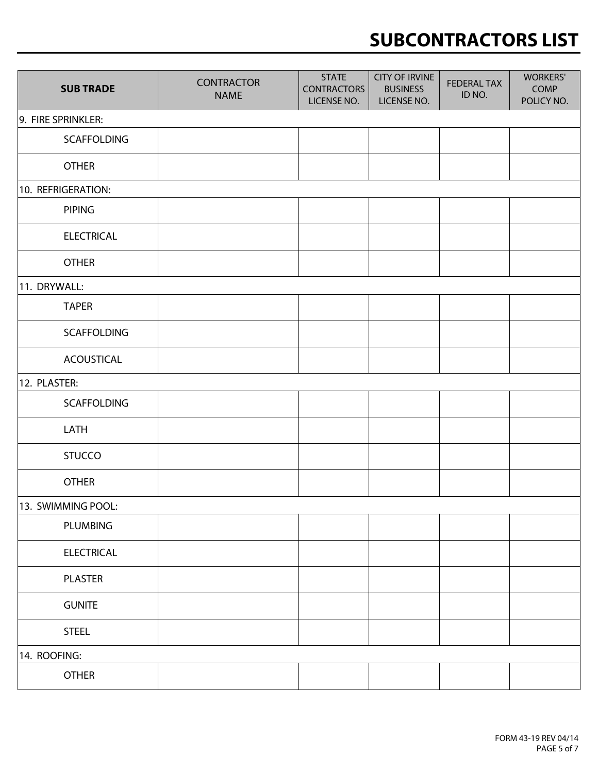| <b>SUB TRADE</b>                     | <b>CONTRACTOR</b><br><b>NAME</b> | <b>STATE</b><br><b>CONTRACTORS</b><br>LICENSE NO. | <b>CITY OF IRVINE</b><br><b>BUSINESS</b><br>LICENSE NO. | <b>FEDERAL TAX</b><br>ID NO. | <b>WORKERS'</b><br><b>COMP</b><br>POLICY NO. |
|--------------------------------------|----------------------------------|---------------------------------------------------|---------------------------------------------------------|------------------------------|----------------------------------------------|
| 9. FIRE SPRINKLER:                   |                                  |                                                   |                                                         |                              |                                              |
| $\blacktriangleright$ SCAFFOLDING    |                                  |                                                   |                                                         |                              |                                              |
| $\overline{\phantom{a}}$ OTHER       |                                  |                                                   |                                                         |                              |                                              |
| 10. REFRIGERATION:                   |                                  |                                                   |                                                         |                              |                                              |
| $\mathbf{I}$ PIPING                  |                                  |                                                   |                                                         |                              |                                              |
| $\blacktriangleright$ ELECTRICAL     |                                  |                                                   |                                                         |                              |                                              |
| $\mathbf{I}$ OTHER                   |                                  |                                                   |                                                         |                              |                                              |
| 11. DRYWALL:                         |                                  |                                                   |                                                         |                              |                                              |
| $\overline{\mathsf{H}}$ TAPER        |                                  |                                                   |                                                         |                              |                                              |
| SCAFFOLDING<br>$\blacktriangledown$  |                                  |                                                   |                                                         |                              |                                              |
| $\blacktriangleright$ ACOUSTICAL     |                                  |                                                   |                                                         |                              |                                              |
| 12. PLASTER:                         |                                  |                                                   |                                                         |                              |                                              |
| SCAFFOLDING<br>$\blacktriangledown$  |                                  |                                                   |                                                         |                              |                                              |
| $\overline{\mathbf{v}}$ LATH         |                                  |                                                   |                                                         |                              |                                              |
| STUCCO<br>$\blacktriangledown$       |                                  |                                                   |                                                         |                              |                                              |
| $\overline{\mathbf{y}}$ OTHER        |                                  |                                                   |                                                         |                              |                                              |
| 13. SWIMMING POOL:                   |                                  |                                                   |                                                         |                              |                                              |
| PLUMBING<br>$\overline{\phantom{a}}$ |                                  |                                                   |                                                         |                              |                                              |
| $\blacktriangleright$ ELECTRICAL     |                                  |                                                   |                                                         |                              |                                              |
| $\blacktriangleright$ PLASTER        |                                  |                                                   |                                                         |                              |                                              |
| $\overline{\mathbf{y}}$ GUNITE       |                                  |                                                   |                                                         |                              |                                              |
| $\overline{\mathbf{y}}$ STEEL        |                                  |                                                   |                                                         |                              |                                              |
| 14. ROOFING:                         |                                  |                                                   |                                                         |                              |                                              |
| $\overline{\mathbf{y}}$ OTHER        |                                  |                                                   |                                                         |                              |                                              |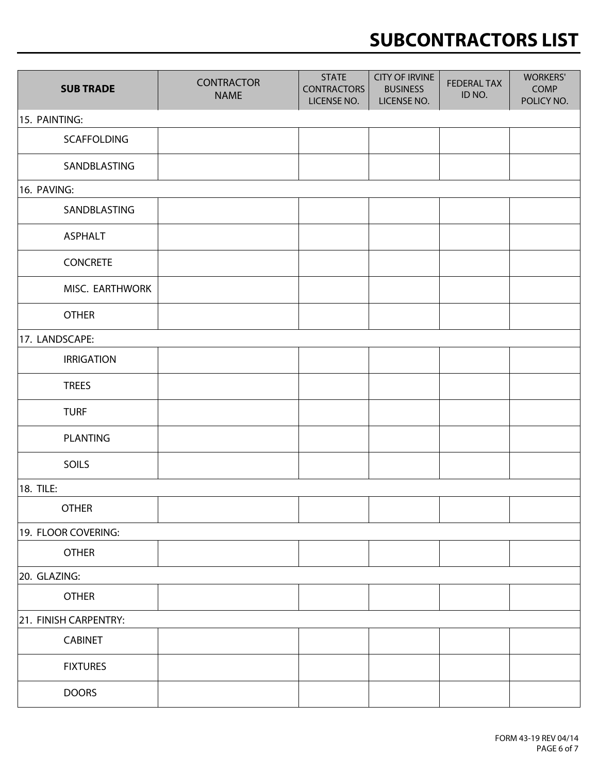| <b>SUB TRADE</b>                            | <b>CONTRACTOR</b><br><b>NAME</b> | <b>STATE</b><br><b>CONTRACTORS</b><br>LICENSE NO. | <b>CITY OF IRVINE</b><br><b>BUSINESS</b><br>LICENSE NO. | <b>FEDERAL TAX</b><br>ID NO. | <b>WORKERS'</b><br>COMP<br>POLICY NO. |
|---------------------------------------------|----------------------------------|---------------------------------------------------|---------------------------------------------------------|------------------------------|---------------------------------------|
| 15. PAINTING:                               |                                  |                                                   |                                                         |                              |                                       |
| <b>SCAFFOLDING</b><br>$\blacktriangledown$  |                                  |                                                   |                                                         |                              |                                       |
| $\blacktriangleright$ SANDBLASTING          |                                  |                                                   |                                                         |                              |                                       |
| 16. PAVING:                                 |                                  |                                                   |                                                         |                              |                                       |
| <b>SANDBLASTING</b><br>$\blacktriangledown$ |                                  |                                                   |                                                         |                              |                                       |
| <b>ASPHALT</b><br>$\mathbf{r}$              |                                  |                                                   |                                                         |                              |                                       |
| <b>CONCRETE</b><br>▼│                       |                                  |                                                   |                                                         |                              |                                       |
| MISC. EARTHWORK<br>$\mathbf{v}$             |                                  |                                                   |                                                         |                              |                                       |
| <b>OTHER</b><br>▼∣                          |                                  |                                                   |                                                         |                              |                                       |
| 17. LANDSCAPE:                              |                                  |                                                   |                                                         |                              |                                       |
| <b>IRRIGATION</b><br>$\blacktriangledown$   |                                  |                                                   |                                                         |                              |                                       |
| <b>TREES</b><br>$\blacktriangledown$        |                                  |                                                   |                                                         |                              |                                       |
| $\overline{\mathsf{y}}$ TURF                |                                  |                                                   |                                                         |                              |                                       |
| PLANTING<br>$\blacktriangledown$            |                                  |                                                   |                                                         |                              |                                       |
| $\overline{\mathsf{I}}$ SOILS               |                                  |                                                   |                                                         |                              |                                       |
| 18. TILE:                                   |                                  |                                                   |                                                         |                              |                                       |
| $\lvert \text{-}\rvert$ OTHER               |                                  |                                                   |                                                         |                              |                                       |
| 19. FLOOR COVERING:                         |                                  |                                                   |                                                         |                              |                                       |
| $\overline{\mathbf{y}}$ OTHER               |                                  |                                                   |                                                         |                              |                                       |
| 20. GLAZING:                                |                                  |                                                   |                                                         |                              |                                       |
| $\overline{\mathbf{y}}$ OTHER               |                                  |                                                   |                                                         |                              |                                       |
| 21. FINISH CARPENTRY:                       |                                  |                                                   |                                                         |                              |                                       |
| <b>CABINET</b><br>$\mathbf{r}$              |                                  |                                                   |                                                         |                              |                                       |
| - FIXTURES                                  |                                  |                                                   |                                                         |                              |                                       |
| $\overline{\mathbf{y}}$ DOORS               |                                  |                                                   |                                                         |                              |                                       |